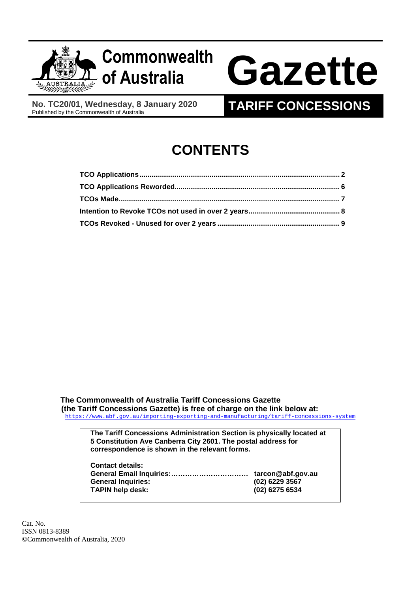

**No. TC20/01, Wednesday, 8 January 2020** 

# **of Australia Gazette**

**TARIFF CONCESSIONS** 

# **CONTENTS**

**The Commonwealth of Australia Tariff Concessions Gazette (the Tariff Concessions Gazette) is free of charge on the link below at:**  <https://www.abf.gov.au/importing-exporting-and-manufacturing/tariff-concessions-system>

> **The Tariff Concessions Administration Section is physically located at 5 Constitution Ave Canberra City 2601. The postal address for correspondence is shown in the relevant forms.**

| <b>Contact details:</b>   |                   |
|---------------------------|-------------------|
|                           | tarcon@abf.gov.au |
| <b>General Inquiries:</b> | $(02)$ 6229 3567  |
| <b>TAPIN help desk:</b>   | (02) 6275 6534    |
|                           |                   |

Cat. No. ISSN 0813-8389 ©Commonwealth of Australia, 2020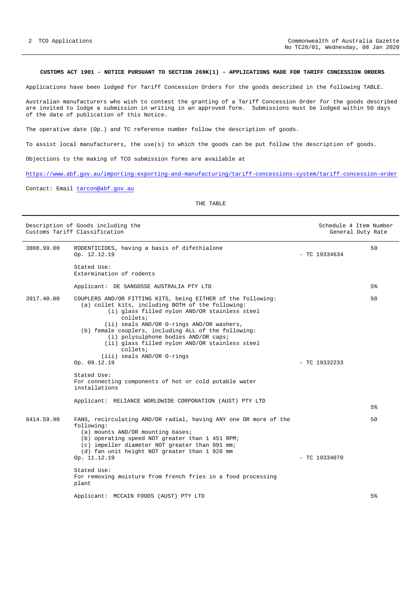## <span id="page-1-0"></span>**CUSTOMS ACT 1901 - NOTICE PURSUANT TO SECTION 269K(1) - APPLICATIONS MADE FOR TARIFF CONCESSION ORDERS**

Applications have been lodged for Tariff Concession Orders for the goods described in the following TABLE.

Australian manufacturers who wish to contest the granting of a Tariff Concession Order for the goods described are invited to lodge a submission in writing in an approved form. Submissions must be lodged within 50 days of the date of publication of this Notice.

The operative date (Op.) and TC reference number follow the description of goods.

To assist local manufacturers, the use(s) to which the goods can be put follow the description of goods.

Objections to the making of TCO submission forms are available at

<https://www.abf.gov.au/importing-exporting-and-manufacturing/tariff-concessions-system/tariff-concession-order>

Contact: Email [tarcon@abf.gov.au](mailto:tarcon@abf.gov.au)

## THE TABLE

|            | Description of Goods including the<br>Customs Tariff Classification                                                                                                                                                                                                                                                                                                                                                                                                                                                               |                 | Schedule 4 Item Number<br>General Duty Rate |
|------------|-----------------------------------------------------------------------------------------------------------------------------------------------------------------------------------------------------------------------------------------------------------------------------------------------------------------------------------------------------------------------------------------------------------------------------------------------------------------------------------------------------------------------------------|-----------------|---------------------------------------------|
| 3808.99.00 | RODENTICIDES, having a basis of difethialone<br>Op. 12.12.19                                                                                                                                                                                                                                                                                                                                                                                                                                                                      | $-$ TC 19334634 | 50                                          |
|            | Stated Use:<br>Extermination of rodents                                                                                                                                                                                                                                                                                                                                                                                                                                                                                           |                 |                                             |
|            | Applicant: DE SANGOSSE AUSTRALIA PTY LTD                                                                                                                                                                                                                                                                                                                                                                                                                                                                                          |                 | 5%                                          |
| 3917.40.00 | COUPLERS AND/OR FITTING KITS, being EITHER of the following:<br>(a) collet kits, including BOTH of the following:<br>(i) glass filled nylon AND/OR stainless steel<br>collets;<br>(ii) seals AND/OR O-rings AND/OR washers,<br>(b) female couplers, including ALL of the following:<br>(i) polysulphone bodies AND/OR caps;<br>(ii) glass filled nylon AND/OR stainless steel<br>collets;<br>(iii) seals AND/OR O-rings<br>Op. 09.12.19<br>Stated Use:<br>For connecting components of hot or cold potable water<br>installations | $-$ TC 19332233 | 50                                          |
|            | Applicant: RELIANCE WORLDWIDE CORPORATION (AUST) PTY LTD                                                                                                                                                                                                                                                                                                                                                                                                                                                                          |                 | 5%                                          |
| 8414.59.90 | FANS, recirculating AND/OR radial, having ANY one OR more of the<br>following:<br>(a) mounts AND/OR mounting bases;<br>(b) operating speed NOT greater than 1 451 RPM;<br>(c) impeller diameter NOT greater than 991 mm;<br>(d) fan unit height NOT greater than 1 926 mm<br>Op. 11.12.19<br>Stated Use:<br>For removing moisture from french fries in a food processing<br>plant                                                                                                                                                 | - TC 19334070   | 50                                          |
|            | Applicant: MCCAIN FOODS (AUST) PTY LTD                                                                                                                                                                                                                                                                                                                                                                                                                                                                                            |                 | 5%                                          |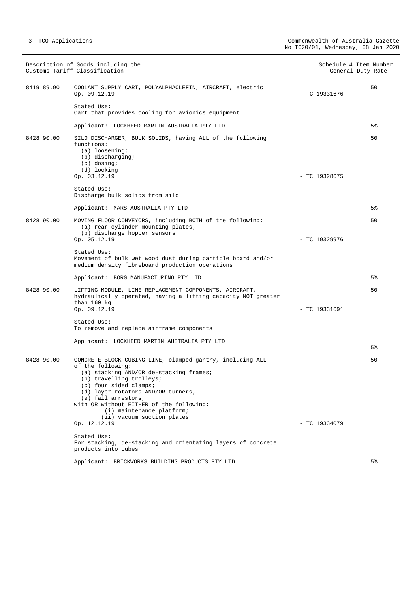|            | Description of Goods including the<br>Customs Tariff Classification                                                                                                                                                                                                                                                                                 |                 | Schedule 4 Item Number<br>General Duty Rate |
|------------|-----------------------------------------------------------------------------------------------------------------------------------------------------------------------------------------------------------------------------------------------------------------------------------------------------------------------------------------------------|-----------------|---------------------------------------------|
| 8419.89.90 | COOLANT SUPPLY CART, POLYALPHAOLEFIN, AIRCRAFT, electric<br>Op. 09.12.19                                                                                                                                                                                                                                                                            | $-$ TC 19331676 | 50                                          |
|            | Stated Use:<br>Cart that provides cooling for avionics equipment                                                                                                                                                                                                                                                                                    |                 |                                             |
|            | Applicant: LOCKHEED MARTIN AUSTRALIA PTY LTD                                                                                                                                                                                                                                                                                                        |                 | 5%                                          |
| 8428.90.00 | SILO DISCHARGER, BULK SOLIDS, having ALL of the following<br>functions:<br>$(a)$ loosening;<br>(b) discharging;<br>$(c)$ dosing;<br>(d) locking                                                                                                                                                                                                     |                 | 50                                          |
|            | Op. 03.12.19                                                                                                                                                                                                                                                                                                                                        | $-$ TC 19328675 |                                             |
|            | Stated Use:<br>Discharge bulk solids from silo                                                                                                                                                                                                                                                                                                      |                 |                                             |
|            | Applicant: MARS AUSTRALIA PTY LTD                                                                                                                                                                                                                                                                                                                   |                 | 5%                                          |
| 8428.90.00 | MOVING FLOOR CONVEYORS, including BOTH of the following:<br>(a) rear cylinder mounting plates;<br>(b) discharge hopper sensors                                                                                                                                                                                                                      |                 | 50                                          |
|            | Op. 05.12.19                                                                                                                                                                                                                                                                                                                                        | $-$ TC 19329976 |                                             |
|            | Stated Use:<br>Movement of bulk wet wood dust during particle board and/or<br>medium density fibreboard production operations                                                                                                                                                                                                                       |                 |                                             |
|            | Applicant: BORG MANUFACTURING PTY LTD                                                                                                                                                                                                                                                                                                               |                 | 5%                                          |
| 8428.90.00 | LIFTING MODULE, LINE REPLACEMENT COMPONENTS, AIRCRAFT,<br>hydraulically operated, having a lifting capacity NOT greater<br>than $160$ kg                                                                                                                                                                                                            |                 | 50                                          |
|            | Op. 09.12.19                                                                                                                                                                                                                                                                                                                                        | - TC 19331691   |                                             |
|            | Stated Use:<br>To remove and replace airframe components                                                                                                                                                                                                                                                                                            |                 |                                             |
|            | Applicant: LOCKHEED MARTIN AUSTRALIA PTY LTD                                                                                                                                                                                                                                                                                                        |                 | 5%                                          |
|            |                                                                                                                                                                                                                                                                                                                                                     |                 |                                             |
| 8428.90.00 | CONCRETE BLOCK CUBING LINE, clamped gantry, including ALL<br>of the following:<br>(a) stacking AND/OR de-stacking frames;<br>(b) travelling trolleys;<br>(c) four sided clamps;<br>(d) layer rotators AND/OR turners;<br>(e) fall arrestors,<br>with OR without EITHER of the following:<br>(i) maintenance platform;<br>(ii) vacuum suction plates |                 | 50                                          |
|            | Op. 12.12.19                                                                                                                                                                                                                                                                                                                                        | $-$ TC 19334079 |                                             |
|            | Stated Use:<br>For stacking, de-stacking and orientating layers of concrete<br>products into cubes                                                                                                                                                                                                                                                  |                 |                                             |
|            | Applicant: BRICKWORKS BUILDING PRODUCTS PTY LTD                                                                                                                                                                                                                                                                                                     |                 | 5%                                          |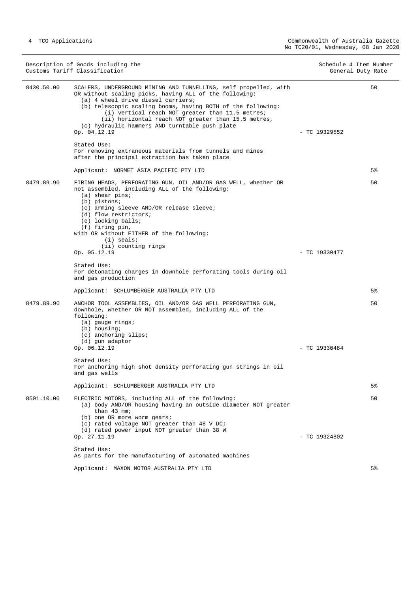|            | Description of Goods including the<br>Customs Tariff Classification                                                                                                                                                                                                                                                                                                                                          | Schedule 4 Item Number<br>General Duty Rate |       |
|------------|--------------------------------------------------------------------------------------------------------------------------------------------------------------------------------------------------------------------------------------------------------------------------------------------------------------------------------------------------------------------------------------------------------------|---------------------------------------------|-------|
| 8430.50.00 | SCALERS, UNDERGROUND MINING AND TUNNELLING, self propelled, with<br>OR without scaling picks, having ALL of the following:<br>(a) 4 wheel drive diesel carriers;<br>(b) telescopic scaling booms, having BOTH of the following:<br>(i) vertical reach NOT greater than 11.5 metres;<br>(ii) horizontal reach NOT greater than 15.5 metres,<br>(c) hydraulic hammers AND turntable push plate<br>Op. 04.12.19 | $-$ TC 19329552                             | 50    |
|            | Stated Use:<br>For removing extraneous materials from tunnels and mines<br>after the principal extraction has taken place                                                                                                                                                                                                                                                                                    |                                             |       |
|            | Applicant: NORMET ASIA PACIFIC PTY LTD                                                                                                                                                                                                                                                                                                                                                                       |                                             | $5\%$ |
| 8479.89.90 | FIRING HEADS, PERFORATING GUN, OIL AND/OR GAS WELL, whether OR<br>not assembled, including ALL of the following:<br>$(a)$ shear pins;<br>(b) pistons;<br>(c) arming sleeve AND/OR release sleeve;<br>(d) flow restrictors;<br>(e) locking balls;<br>(f) firing pin,<br>with OR without EITHER of the following:<br>$(i)$ seals;                                                                              |                                             | 50    |
|            | (ii) counting rings<br>Op. 05.12.19                                                                                                                                                                                                                                                                                                                                                                          | $-$ TC 19330477                             |       |
|            | Stated Use:<br>For detonating charges in downhole perforating tools during oil<br>and gas production                                                                                                                                                                                                                                                                                                         |                                             |       |
|            | Applicant: SCHLUMBERGER AUSTRALIA PTY LTD                                                                                                                                                                                                                                                                                                                                                                    |                                             | 5%    |
| 8479.89.90 | ANCHOR TOOL ASSEMBLIES, OIL AND/OR GAS WELL PERFORATING GUN,<br>downhole, whether OR NOT assembled, including ALL of the<br>following:<br>$(a)$ gauge rings;<br>(b) housing;<br>(c) anchoring slips;<br>(d) gun adaptor                                                                                                                                                                                      |                                             | 50    |
|            | Op. 06.12.19                                                                                                                                                                                                                                                                                                                                                                                                 | $-$ TC 19330484                             |       |
|            | Stated Use:<br>For anchoring high shot density perforating gun strings in oil<br>and gas wells                                                                                                                                                                                                                                                                                                               |                                             |       |
|            | Applicant: SCHLUMBERGER AUSTRALIA PTY LTD                                                                                                                                                                                                                                                                                                                                                                    |                                             | $5\%$ |
| 8501.10.00 | ELECTRIC MOTORS, including ALL of the following:<br>(a) body AND/OR housing having an outside diameter NOT greater<br>than 43 mm;<br>(b) one OR more worm gears;<br>(c) rated voltage NOT greater than 48 V DC;<br>(d) rated power input NOT greater than 38 W                                                                                                                                               |                                             | 50    |
|            | Op. 27.11.19                                                                                                                                                                                                                                                                                                                                                                                                 | $-$ TC 19324802                             |       |
|            | Stated Use:<br>As parts for the manufacturing of automated machines                                                                                                                                                                                                                                                                                                                                          |                                             |       |
|            | Applicant: MAXON MOTOR AUSTRALIA PTY LTD                                                                                                                                                                                                                                                                                                                                                                     |                                             | $5\%$ |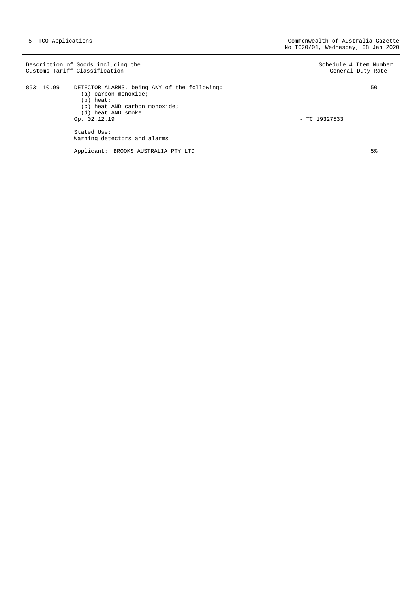|            | Description of Goods including the<br>Customs Tariff Classification                                                                                                                                       | Schedule 4 Item Number<br>General Duty Rate |
|------------|-----------------------------------------------------------------------------------------------------------------------------------------------------------------------------------------------------------|---------------------------------------------|
| 8531.10.99 | DETECTOR ALARMS, being ANY of the following:<br>(a) carbon monoxide;<br>$(b)$ heat;<br>(c) heat AND carbon monoxide;<br>(d) heat AND smoke<br>Op. 02.12.19<br>Stated Use:<br>Warning detectors and alarms | 50<br>$-$ TC 19327533                       |
|            | Applicant: BROOKS AUSTRALIA PTY LTD                                                                                                                                                                       | 5 <sup>°</sup>                              |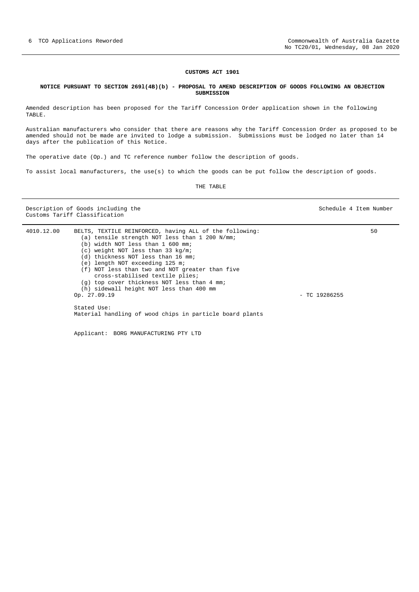#### **CUSTOMS ACT 1901**

#### <span id="page-5-0"></span>**NOTICE PURSUANT TO SECTION 269l(4B)(b) - PROPOSAL TO AMEND DESCRIPTION OF GOODS FOLLOWING AN OBJECTION SUBMISSION**

Amended description has been proposed for the Tariff Concession Order application shown in the following TABLE.

Australian manufacturers who consider that there are reasons why the Tariff Concession Order as proposed to be amended should not be made are invited to lodge a submission. Submissions must be lodged no later than 14 days after the publication of this Notice.

The operative date (Op.) and TC reference number follow the description of goods.

To assist local manufacturers, the use(s) to which the goods can be put follow the description of goods.

THE TABLE

Description of Goods including the Schedule 4 Item Number Customs Tariff Classification

| 4010.12.00 | BELTS, TEXTILE REINFORCED, having ALL of the following:                            |                 | 50 |
|------------|------------------------------------------------------------------------------------|-----------------|----|
|            | (a) tensile strength NOT less than 1 200 N/mm;                                     |                 |    |
|            | (b) width NOT less than 1 600 mm;                                                  |                 |    |
|            | (c) weight NOT less than 33 kg/m;                                                  |                 |    |
|            | (d) thickness NOT less than 16 mm;                                                 |                 |    |
|            | (e) length NOT exceeding 125 m;                                                    |                 |    |
|            | (f) NOT less than two and NOT greater than five<br>cross-stabilised textile plies; |                 |    |
|            | (q) top cover thickness NOT less than 4 mm;                                        |                 |    |
|            | (h) sidewall height NOT less than 400 mm                                           |                 |    |
|            | Op. 27.09.19                                                                       | $-$ TC 19286255 |    |
|            | Stated Use:                                                                        |                 |    |
|            | Material handling of wood chips in particle board plants                           |                 |    |
|            |                                                                                    |                 |    |

Applicant: BORG MANUFACTURING PTY LTD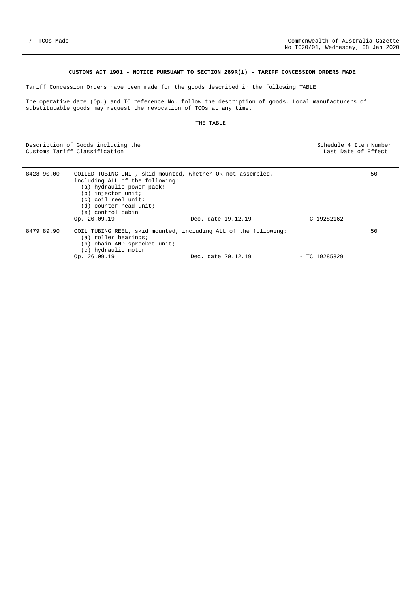# **CUSTOMS ACT 1901 - NOTICE PURSUANT TO SECTION 269R(1) - TARIFF CONCESSION ORDERS MADE**

<span id="page-6-0"></span>Tariff Concession Orders have been made for the goods described in the following TABLE.

The operative date (Op.) and TC reference No. follow the description of goods. Local manufacturers of substitutable goods may request the revocation of TCOs at any time.

#### THE TABLE

Description of Goods including the Schedule 4 Item Number (Schedule 4 Item Number (Schedule 4 Item Number (Schedule 4 Item Number (Schedule 4 Item Number (Schedule 4 Item Number (Schedule 4 Item Number (Schedule 4 Item Num Customs Tariff Classification Last Date of Effect

| including ALL of the following:<br>(a) hydraulic power pack;<br>(b) injector unit;<br>(c) coil reel unit;<br>(d) counter head unit;<br>(e) control cabin |                                |                                                                                                             | 50                                                                                                |
|----------------------------------------------------------------------------------------------------------------------------------------------------------|--------------------------------|-------------------------------------------------------------------------------------------------------------|---------------------------------------------------------------------------------------------------|
|                                                                                                                                                          |                                |                                                                                                             |                                                                                                   |
| (a) roller bearings;<br>(b) chain AND sprocket unit;<br>(c) hydraulic motor                                                                              |                                |                                                                                                             | 50                                                                                                |
|                                                                                                                                                          | Op. 20.09.19<br>Op. $26.09.19$ | Dec. date 19.12.19<br>COIL TUBING REEL, skid mounted, including ALL of the following:<br>Dec. date 20.12.19 | COILED TUBING UNIT, skid mounted, whether OR not assembled,<br>$-$ TC 19282162<br>$-$ TC 19285329 |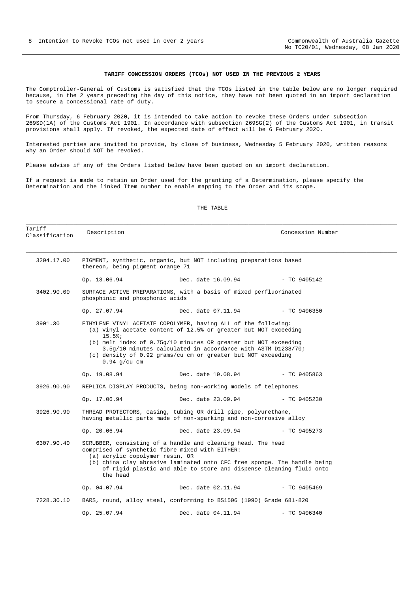#### **TARIFF CONCESSION ORDERS (TCOs) NOT USED IN THE PREVIOUS 2 YEARS**

<span id="page-7-0"></span>The Comptroller-General of Customs is satisfied that the TCOs listed in the table below are no longer required because, in the 2 years preceding the day of this notice, they have not been quoted in an import declaration to secure a concessional rate of duty.

From Thursday, 6 February 2020, it is intended to take action to revoke these Orders under subsection 269SD(1A) of the Customs Act 1901. In accordance with subsection 269SG(2) of the Customs Act 1901, in transit provisions shall apply. If revoked, the expected date of effect will be 6 February 2020.

Interested parties are invited to provide, by close of business, Wednesday 5 February 2020, written reasons why an Order should NOT be revoked.

Please advise if any of the Orders listed below have been quoted on an import declaration.

If a request is made to retain an Order used for the granting of a Determination, please specify the Determination and the linked Item number to enable mapping to the Order and its scope.

#### THE TABLE

\_\_\_\_\_\_\_\_\_\_\_\_\_\_\_\_\_\_\_\_\_\_\_\_\_\_\_\_\_\_\_\_\_\_\_\_\_\_\_\_\_\_\_\_\_\_\_\_\_\_\_\_\_\_\_\_\_\_\_\_\_\_\_\_\_\_\_\_\_\_\_\_\_\_\_\_\_\_\_\_\_\_\_\_\_\_\_\_\_\_\_\_\_\_\_\_\_\_\_\_\_\_\_\_\_\_\_\_\_\_

| Tariff<br>Classification | Description                                 |                                                                                                                                                                                                                                                                                                                                        | Concession Number |  |
|--------------------------|---------------------------------------------|----------------------------------------------------------------------------------------------------------------------------------------------------------------------------------------------------------------------------------------------------------------------------------------------------------------------------------------|-------------------|--|
| 3204.17.00               | thereon, being pigment orange 71            | PIGMENT, synthetic, organic, but NOT including preparations based                                                                                                                                                                                                                                                                      |                   |  |
|                          | Op. 13.06.94                                | $Dec. date 16.09.94 = TC 9405142$                                                                                                                                                                                                                                                                                                      |                   |  |
| 3402.90.00               | phosphinic and phosphonic acids             | SURFACE ACTIVE PREPARATIONS, with a basis of mixed perfluorinated                                                                                                                                                                                                                                                                      |                   |  |
|                          | Op. 27.07.94                                | Dec. date 07.11.94                                                                                                                                                                                                                                                                                                                     | - TC 9406350      |  |
| 3901.30                  | 15.5%<br>$0.94$ g/cu cm                     | ETHYLENE VINYL ACETATE COPOLYMER, having ALL of the following:<br>(a) vinyl acetate content of 12.5% or greater but NOT exceeding<br>(b) melt index of $0.75g/10$ minutes OR greater but NOT exceeding<br>3.5q/10 minutes calculated in accordance with ASTM D1238/70;<br>(c) density of 0.92 grams/cu cm or greater but NOT exceeding |                   |  |
|                          | Op. 19.08.94                                | Dec. date 19.08.94                                                                                                                                                                                                                                                                                                                     | $-$ TC 9405863    |  |
| 3926.90.90               |                                             | REPLICA DISPLAY PRODUCTS, being non-working models of telephones                                                                                                                                                                                                                                                                       |                   |  |
|                          | Op. 17.06.94                                | Dec. date 23.09.94                                                                                                                                                                                                                                                                                                                     | $-$ TC 9405230    |  |
| 3926.90.90               |                                             | THREAD PROTECTORS, casing, tubing OR drill pipe, polyurethane,<br>having metallic parts made of non-sparking and non-corrosive alloy                                                                                                                                                                                                   |                   |  |
|                          | Op. 20.06.94                                | Dec. date 23.09.94                                                                                                                                                                                                                                                                                                                     | $-$ TC 9405273    |  |
| 6307.90.40               | (a) acrylic copolymer resin, OR<br>the head | SCRUBBER, consisting of a handle and cleaning head. The head<br>comprised of synthetic fibre mixed with EITHER:<br>(b) china clay abrasive laminated onto CFC free sponge. The handle being<br>of rigid plastic and able to store and dispense cleaning fluid onto                                                                     |                   |  |
|                          | Op. 04.07.94                                | Dec. date 02.11.94                                                                                                                                                                                                                                                                                                                     | $-$ TC 9405469    |  |
| 7228.30.10               |                                             | BARS, round, alloy steel, conforming to BS1506 (1990) Grade 681-820                                                                                                                                                                                                                                                                    |                   |  |
|                          | Op. 25.07.94                                | Dec. date 04.11.94                                                                                                                                                                                                                                                                                                                     | $-$ TC 9406340    |  |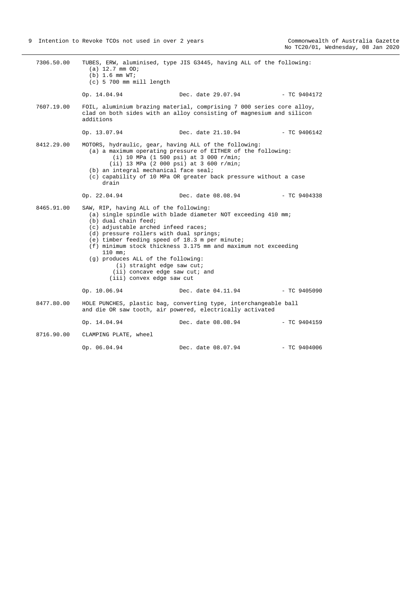<span id="page-8-0"></span>

| 7306.50.00 | (a) 12.7 mm OD;<br>$(b)$ 1.6 mm $WT_i$<br>$(c)$ 5 700 mm mill length                                                                                                                                                                                                                                                                                                                                                                                                                    | TUBES, ERW, aluminised, type JIS G3445, having ALL of the following:                                                                                                                                                        |                |
|------------|-----------------------------------------------------------------------------------------------------------------------------------------------------------------------------------------------------------------------------------------------------------------------------------------------------------------------------------------------------------------------------------------------------------------------------------------------------------------------------------------|-----------------------------------------------------------------------------------------------------------------------------------------------------------------------------------------------------------------------------|----------------|
|            | Op. 14.04.94                                                                                                                                                                                                                                                                                                                                                                                                                                                                            | Dec. date 29.07.94                                                                                                                                                                                                          | - TC 9404172   |
| 7607.19.00 | additions                                                                                                                                                                                                                                                                                                                                                                                                                                                                               | FOIL, aluminium brazing material, comprising 7 000 series core alloy,<br>clad on both sides with an alloy consisting of magnesium and silicon                                                                               |                |
|            | Op. 13.07.94                                                                                                                                                                                                                                                                                                                                                                                                                                                                            | Dec. date 21.10.94                                                                                                                                                                                                          | $-$ TC 9406142 |
| 8412.29.00 | MOTORS, hydraulic, gear, having ALL of the following:<br>(b) an integral mechanical face seal;<br>drain                                                                                                                                                                                                                                                                                                                                                                                 | (a) a maximum operating pressure of EITHER of the following:<br>(i) 10 MPa (1 500 psi) at 3 000 $r/min$ ;<br>$(iii)$ 13 MPa (2 000 psi) at 3 600 r/min;<br>(c) capability of 10 MPa OR greater back pressure without a case |                |
|            | Op. 22.04.94                                                                                                                                                                                                                                                                                                                                                                                                                                                                            | Dec. date 08.08.94                                                                                                                                                                                                          | $-$ TC 9404338 |
| 8465.91.00 | SAW, RIP, having ALL of the following:<br>(a) single spindle with blade diameter NOT exceeding 410 mm;<br>(b) dual chain feed;<br>(c) adjustable arched infeed races;<br>(d) pressure rollers with dual springs;<br>(e) timber feeding speed of 18.3 m per minute;<br>(f) minimum stock thickness 3.175 mm and maximum not exceeding<br>$110$ mm;<br>(g) produces ALL of the following:<br>$(i)$ straight edge saw cut;<br>$(i)$ concave edge saw cut; and<br>(iii) convex edge saw cut |                                                                                                                                                                                                                             |                |
|            | Op. 10.06.94                                                                                                                                                                                                                                                                                                                                                                                                                                                                            | Dec. date 04.11.94                                                                                                                                                                                                          | $-$ TC 9405090 |
| 8477.80.00 |                                                                                                                                                                                                                                                                                                                                                                                                                                                                                         | HOLE PUNCHES, plastic bag, converting type, interchangeable ball<br>and die OR saw tooth, air powered, electrically activated                                                                                               |                |
|            | Op. 14.04.94                                                                                                                                                                                                                                                                                                                                                                                                                                                                            | Dec. date 08.08.94                                                                                                                                                                                                          | $-$ TC 9404159 |
| 8716.90.00 | CLAMPING PLATE, wheel                                                                                                                                                                                                                                                                                                                                                                                                                                                                   |                                                                                                                                                                                                                             |                |
|            | Op. 06.04.94                                                                                                                                                                                                                                                                                                                                                                                                                                                                            | Dec. date 08.07.94                                                                                                                                                                                                          | $-$ TC 9404006 |
|            |                                                                                                                                                                                                                                                                                                                                                                                                                                                                                         |                                                                                                                                                                                                                             |                |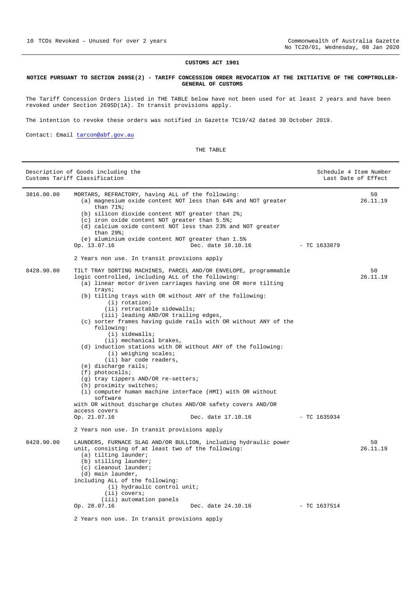#### **CUSTOMS ACT 1901**

#### **NOTICE PURSUANT TO SECTION 269SE(2) - TARIFF CONCESSION ORDER REVOCATION AT THE INITIATIVE OF THE COMPTROLLER-GENERAL OF CUSTOMS**

The Tariff Concession Orders listed in THE TABLE below have not been used for at least 2 years and have been revoked under Section 269SD(1A). In transit provisions apply.

The intention to revoke these orders was notified in Gazette TC19/42 dated 30 October 2019.

Contact: Email [tarcon@abf.gov.au](mailto:tarcon@abf.gov.au)

# THE TABLE

|            | Description of Goods including the<br>Customs Tariff Classification                                                                                                                                                                                                                                                                                                                                                                                                                                                                                                                                                                                                                                                                                                                                                                                                            |                    |                | Schedule 4 Item Number<br>Last Date of Effect |
|------------|--------------------------------------------------------------------------------------------------------------------------------------------------------------------------------------------------------------------------------------------------------------------------------------------------------------------------------------------------------------------------------------------------------------------------------------------------------------------------------------------------------------------------------------------------------------------------------------------------------------------------------------------------------------------------------------------------------------------------------------------------------------------------------------------------------------------------------------------------------------------------------|--------------------|----------------|-----------------------------------------------|
| 3816.00.00 | MORTARS, REFRACTORY, having ALL of the following:<br>(a) magnesium oxide content NOT less than 64% and NOT greater<br>than $71$ %;<br>(b) silicon dioxide content NOT greater than 2%;<br>(c) iron oxide content NOT greater than 5.5%;<br>(d) calcium oxide content NOT less than 23% and NOT greater<br>than $29$ %;<br>(e) aluminium oxide content NOT greater than 1.5%<br>Op. 13.07.16                                                                                                                                                                                                                                                                                                                                                                                                                                                                                    | Dec. date 10.10.16 | - TC 1633879   | 50<br>26.11.19                                |
|            | 2 Years non use. In transit provisions apply                                                                                                                                                                                                                                                                                                                                                                                                                                                                                                                                                                                                                                                                                                                                                                                                                                   |                    |                |                                               |
| 8428.90.00 | TILT TRAY SORTING MACHINES, PARCEL AND/OR ENVELOPE, programmable<br>logic controlled, including ALL of the following:<br>(a) linear motor driven carriages having one OR more tilting<br>trays;<br>(b) tilting trays with OR without ANY of the following:<br>(i) rotation;<br>(ii) retractable sidewalls;<br>(iii) leading AND/OR trailing edges,<br>(c) sorter frames having guide rails with OR without ANY of the<br>following:<br>$(i)$ sidewalls;<br>(ii) mechanical brakes,<br>(d) induction stations with OR without ANY of the following:<br>(i) weighing scales;<br>(ii) bar code readers,<br>(e) discharge rails;<br>$(f)$ photocells;<br>(g) tray tippers AND/OR re-setters;<br>(h) proximity switches;<br>(i) computer human machine interface (HMI) with OR without<br>software<br>with OR without discharge chutes AND/OR safety covers AND/OR<br>access covers |                    |                | 50<br>26.11.19                                |
|            | Op. 21.07.16                                                                                                                                                                                                                                                                                                                                                                                                                                                                                                                                                                                                                                                                                                                                                                                                                                                                   | Dec. date 17.10.16 | $-$ TC 1635934 |                                               |
|            | 2 Years non use. In transit provisions apply                                                                                                                                                                                                                                                                                                                                                                                                                                                                                                                                                                                                                                                                                                                                                                                                                                   |                    |                |                                               |
| 8428.90.00 | LAUNDERS, FURNACE SLAG AND/OR BULLION, including hydraulic power<br>unit, consisting of at least two of the following:<br>(a) tilting launder;<br>(b) stilling launder;<br>(c) cleanout launder;<br>(d) main launder,<br>including ALL of the following:<br>(i) hydraulic control unit;<br>$(iii)$ covers;<br>(iii) automation panels                                                                                                                                                                                                                                                                                                                                                                                                                                                                                                                                          |                    |                | 50<br>26.11.19                                |
|            | Op. 28.07.16                                                                                                                                                                                                                                                                                                                                                                                                                                                                                                                                                                                                                                                                                                                                                                                                                                                                   | Dec. date 24.10.16 | $-$ TC 1637514 |                                               |
|            | 2 Years non use. In transit provisions apply                                                                                                                                                                                                                                                                                                                                                                                                                                                                                                                                                                                                                                                                                                                                                                                                                                   |                    |                |                                               |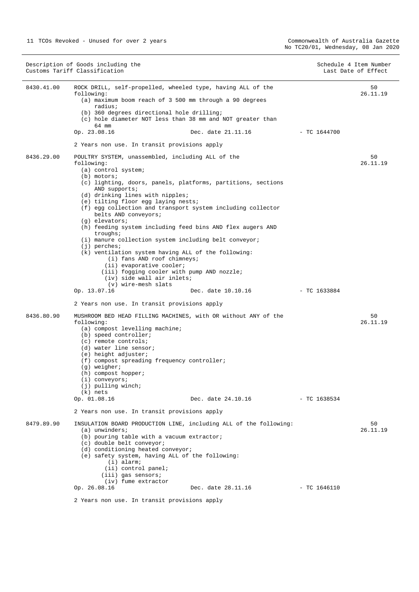|            | Description of Goods including the<br>Customs Tariff Classification                                                                                                                                                                                                                                                                                                                                                                                                                                                                                                                                                                                                                                                                                                                              | Schedule 4 Item Number<br>Last Date of Effect |
|------------|--------------------------------------------------------------------------------------------------------------------------------------------------------------------------------------------------------------------------------------------------------------------------------------------------------------------------------------------------------------------------------------------------------------------------------------------------------------------------------------------------------------------------------------------------------------------------------------------------------------------------------------------------------------------------------------------------------------------------------------------------------------------------------------------------|-----------------------------------------------|
| 8430.41.00 | ROCK DRILL, self-propelled, wheeled type, having ALL of the<br>following:<br>(a) maximum boom reach of 3 500 mm through a 90 degrees<br>radius;<br>(b) 360 degrees directional hole drilling;<br>(c) hole diameter NOT less than 38 mm and NOT greater than<br>64 mm<br>Op. 23.08.16<br>Dec. date 21.11.16<br>2 Years non use. In transit provisions apply                                                                                                                                                                                                                                                                                                                                                                                                                                       | 50<br>26.11.19<br>$-$ TC 1644700              |
| 8436.29.00 | POULTRY SYSTEM, unassembled, including ALL of the<br>following:<br>(a) control system;<br>$(b)$ motors;<br>(c) lighting, doors, panels, platforms, partitions, sections<br>AND supports;<br>(d) drinking lines with nipples;<br>(e) tilting floor egg laying nests;<br>(f) egg collection and transport system including collector<br>belts AND conveyors;<br>$(q)$ elevators;<br>(h) feeding system including feed bins AND flex augers AND<br>troughs;<br>(i) manure collection system including belt conveyor;<br>$(j)$ perches;<br>$(k)$ ventilation system having ALL of the following:<br>(i) fans AND roof chimneys;<br>(ii) evaporative cooler;<br>(iii) fogging cooler with pump AND nozzle;<br>(iv) side wall air inlets;<br>(v) wire-mesh slats<br>Op. 13.07.16<br>Dec. date 10.10.16 | 50<br>26.11.19<br>- TC 1633884                |
| 8436.80.90 | 2 Years non use. In transit provisions apply<br>MUSHROOM BED HEAD FILLING MACHINES, with OR without ANY of the<br>following:<br>(a) compost levelling machine;<br>(b) speed controller;<br>$(c)$ remote controls;<br>(d) water line sensor;<br>(e) height adjuster;<br>(f) compost spreading frequency controller;<br>$(g)$ weigher;<br>(h) compost hopper;<br>$(i)$ conveyors;<br>(j) pulling winch;<br>$(k)$ nets<br>Op. 01.08.16<br>Dec. date 24.10.16<br>2 Years non use. In transit provisions apply                                                                                                                                                                                                                                                                                        | 50<br>26.11.19<br>- TC 1638534                |
| 8479.89.90 | INSULATION BOARD PRODUCTION LINE, including ALL of the following:<br>$(a)$ unwinders;<br>(b) pouring table with a vacuum extractor;<br>(c) double belt conveyor;<br>(d) conditioning heated conveyor;<br>(e) safety system, having ALL of the following:<br>$(i)$ alarm;<br>(ii) control panel;<br>(iii) gas sensors;<br>(iv) fume extractor<br>Op. 26.08.16<br>Dec. date 28.11.16<br>2 Years non use. In transit provisions apply                                                                                                                                                                                                                                                                                                                                                               | 50<br>26.11.19<br>- TC 1646110                |